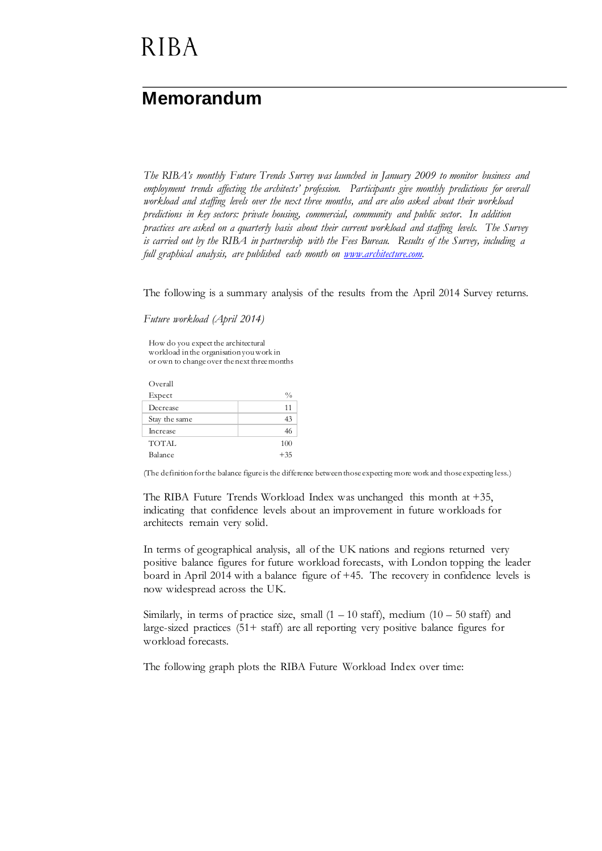# **RIBA**

### **Memorandum**

*The RIBA's monthly Future Trends Survey was launched in January 2009 to monitor business and employment trends affecting the architects' profession. Participants give monthly predictions for overall workload and staffing levels over the next three months, and are also asked about their workload predictions in key sectors: private housing, commercial, community and public sector. In addition practices are asked on a quarterly basis about their current workload and staffing levels. The Survey is carried out by the RIBA in partnership with the Fees Bureau. Results of the Survey, including a full graphical analysis, are published each month on [www.architecture.com.](http://www.architecture.com/)*

The following is a summary analysis of the results from the April 2014 Survey returns.

*Future workload (April 2014)*

How do you expect the architectural workload in the organisation you work in or own to change over the next three months

| Overall         |               |
|-----------------|---------------|
| Expect          | $\frac{0}{0}$ |
| Decrease        | 11            |
| Stay the same   | 43            |
| <b>Increase</b> | 46            |
| <b>TOTAL</b>    | 100           |
| Balance         | $+35$         |

(The definition for the balance figure is the difference between those expecting more work and those expecting less.)

The RIBA Future Trends Workload Index was unchanged this month at +35, indicating that confidence levels about an improvement in future workloads for architects remain very solid.

In terms of geographical analysis, all of the UK nations and regions returned very positive balance figures for future workload forecasts, with London topping the leader board in April 2014 with a balance figure of +45. The recovery in confidence levels is now widespread across the UK.

Similarly, in terms of practice size, small  $(1 - 10 \text{ staff})$ , medium  $(10 - 50 \text{ staff})$  and large-sized practices (51+ staff) are all reporting very positive balance figures for workload forecasts.

The following graph plots the RIBA Future Workload Index over time: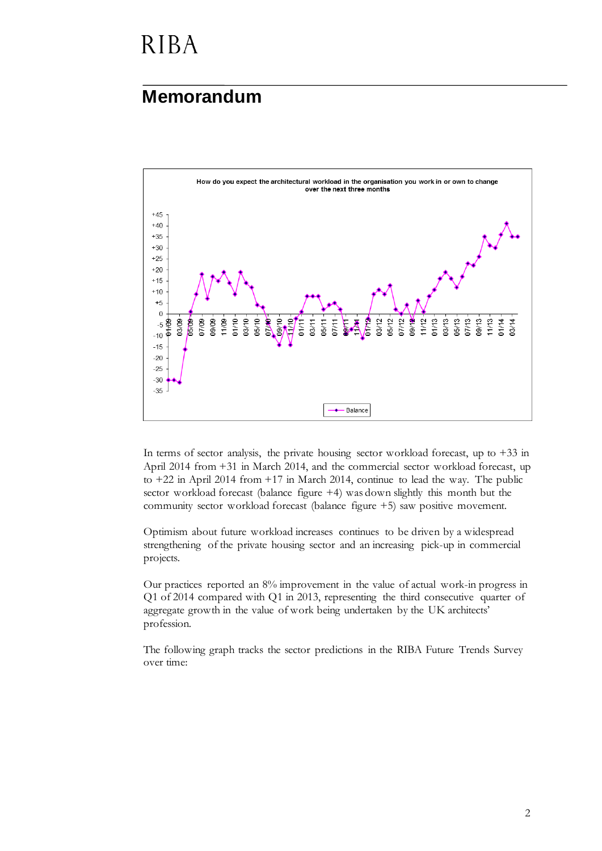# **RIBA**

#### **Memorandum**



In terms of sector analysis, the private housing sector workload forecast, up to  $+33$  in April 2014 from +31 in March 2014, and the commercial sector workload forecast, up to +22 in April 2014 from +17 in March 2014, continue to lead the way. The public sector workload forecast (balance figure +4) was down slightly this month but the community sector workload forecast (balance figure +5) saw positive movement.

Optimism about future workload increases continues to be driven by a widespread strengthening of the private housing sector and an increasing pick-up in commercial projects.

Our practices reported an 8% improvement in the value of actual work-in progress in Q1 of 2014 compared with Q1 in 2013, representing the third consecutive quarter of aggregate growth in the value of work being undertaken by the UK architects' profession.

The following graph tracks the sector predictions in the RIBA Future Trends Survey over time: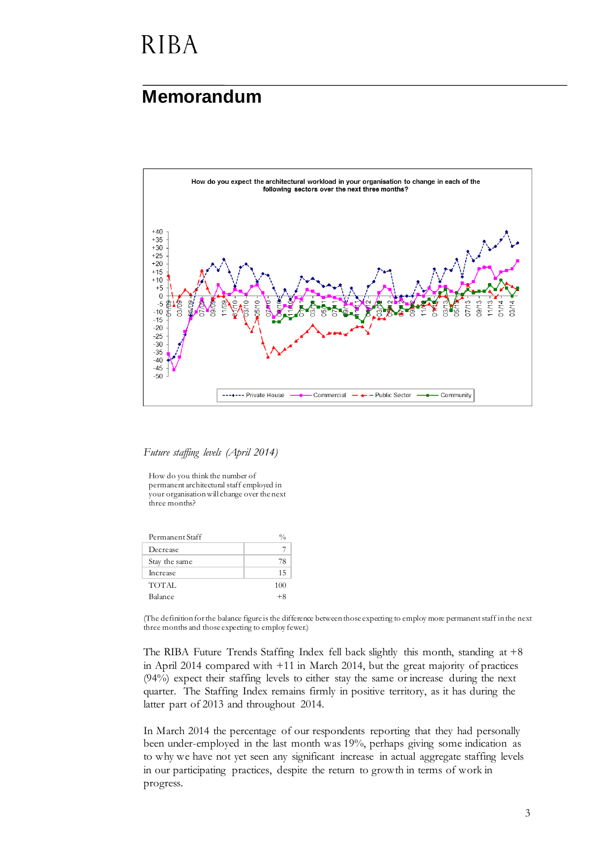## **RIBA**

#### **Memorandum**



*Future staffing levels (April 2014)*

How do you think the number of permanent architectural staff employed in your organisation will change over the next three months?

| Permanent Staff |            |
|-----------------|------------|
| Decrease        |            |
| Stay the same   | 78         |
| Increase        | 15         |
| TOTAL           | 100        |
| Balance         | $+$ $\sim$ |
|                 |            |

(The definition for the balance figure is the difference between those expecting to employ more permanent staff in the next three months and those expecting to employ fewer.)

The RIBA Future Trends Staffing Index fell back slightly this month, standing at +8 in April 2014 compared with +11 in March 2014, but the great majority of practices (94%) expect their staffing levels to either stay the same or increase during the next quarter. The Staffing Index remains firmly in positive territory, as it has during the latter part of 2013 and throughout 2014.

In March 2014 the percentage of our respondents reporting that they had personally been under-employed in the last month was 19%, perhaps giving some indication as to why we have not yet seen any significant increase in actual aggregate staffing levels in our participating practices, despite the return to growth in terms of work in progress.